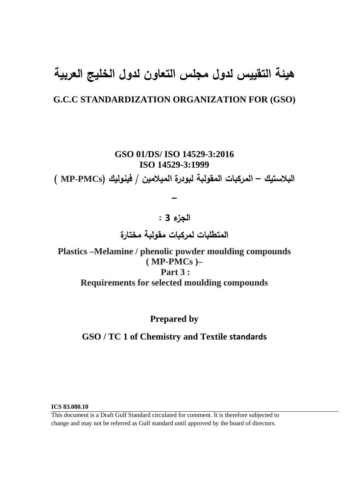# **هيئة التقييس لدول مجلس التعاون لدول الخليج العربية**

# **G.C.C STANDARDIZATION ORGANIZATION FOR (GSO)**

**GSO 01/DS/ ISO 14529-3:2016 ISO 14529-3:1999**

**البلاستيك – المركبات المقولبة لبودرة الميلامين / فينوليك (PMCs-MP (**

**الجزء 3 : المتطلبات لمركبات مقولبة مختارة** 

 **–**

**Plastics –Melamine / phenolic powder moulding compounds ( MP-PMCs )– Part 3 : Requirements for selected moulding compounds** 

**Prepared by** 

**GSO / TC 1 of Chemistry and Textile standards**

**ICS 83.080.10** 

This document is a Draft Gulf Standard circulated for comment. It is therefore subjected to change and may not be referred as Gulf standard until approved by the board of directors.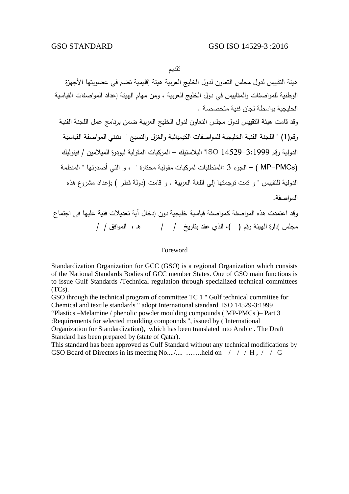تقديم

هيئة التقييس لدول مجلس التعاون لدول الخليج العربية هيئة إقليمية تضم في عضويتها الأجهزة الوطنية للمواصفات والمقاييس في دول الخليج العربية ، ومن مهام الهيئة إعداد المواصفات القياسية الخليجية بواسطة لجان فنية متخصصة . وقد قامت هيئة التقييس لدول مجلس التعاون لدول الخليج العربية ضمن برنامج عمل اللجنة الفنية رقم(1) " اللجنة الفنية الخليجية للمواصفات الكيميائية والغزل والنسيج " بتبني المواصفة القياسية الدولية رقم 14529-3:1999 ISO "البلاستيك – المركبات المقولبة لبودرة الميلامين / فينوليك (PMCs-MP – ( الجزء 3 :المتطلبات لمركبات مقولبة مختارة " ، و التي أصدرتها " المنظمة الدولية للتقييس " و تمت ترجمتها إلى اللغة العربية . و قامت (دولة قطر ) بإعداد مشروع هذه المواصفة. وقد اعتمدت هذه المواصفة كـمواصفة قياسية خليجية دون إدخال أية تعديلات فنية عليها في اجتماع مجلس إدارة الهيئة رقم ( )، الذي عقد بتاريخ / / هـ ، الموافق / /

#### Foreword

Standardization Organization for GCC (GSO) is a regional Organization which consists of the National Standards Bodies of GCC member States. One of GSO main functions is to issue Gulf Standards /Technical regulation through specialized technical committees (TCs).

GSO through the technical program of committee TC 1 " Gulf technical committee for Chemical and textile standards " adopt International standard ISO 14529-3:1999 "Plastics –Melamine / phenolic powder moulding compounds ( MP-PMCs )– Part 3

:Requirements for selected moulding compounds ", issued by ( International

Organization for Standardization), which has been translated into Arabic . The Draft Standard has been prepared by (state of Qatar).

This standard has been approved as Gulf Standard without any technical modifications by GSO Board of Directors in its meeting No..../.... …….held on / / / H, / / G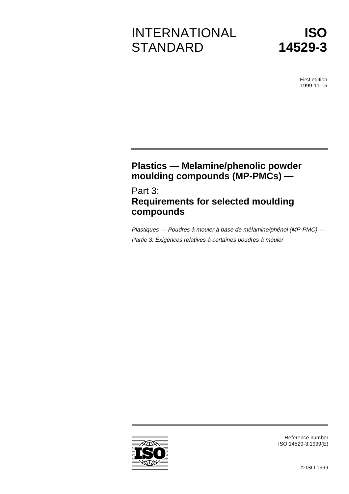# INTERNATIONAL **STANDARD**



First edition 1999-11-15

# **Plastics — Melamine/phenolic powder moulding compounds (MP-PMCs) —**

Part 3: **Requirements for selected moulding compounds**

Plastiques — Poudres à mouler à base de mélamine/phénol (MP-PMC) — Partie 3: Exigences relatives à certaines poudres à mouler



Reference number ISO 14529-3:1999(E)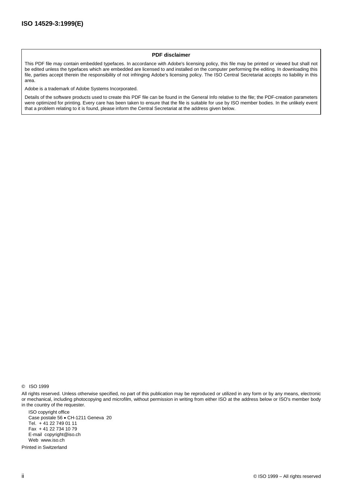#### **PDF disclaimer**

This PDF file may contain embedded typefaces. In accordance with Adobe's licensing policy, this file may be printed or viewed but shall not be edited unless the typefaces which are embedded are licensed to and installed on the computer performing the editing. In downloading this file, parties accept therein the responsibility of not infringing Adobe's licensing policy. The ISO Central Secretariat accepts no liability in this area.

Adobe is a trademark of Adobe Systems Incorporated.

Details of the software products used to create this PDF file can be found in the General Info relative to the file; the PDF-creation parameters were optimized for printing. Every care has been taken to ensure that the file is suitable for use by ISO member bodies. In the unlikely event that a problem relating to it is found, please inform the Central Secretariat at the address given below.

© ISO 1999

All rights reserved. Unless otherwise specified, no part of this publication may be reproduced or utilized in any form or by any means, electronic or mechanical, including photocopying and microfilm, without permission in writing from either ISO at the address below or ISO's member body in the country of the requester.

ISO copyright office Case postale 56 · CH-1211 Geneva 20 Tel. + 41 22 749 01 11 Fax + 41 22 734 10 79 E-mail copyright@iso.ch Web www.iso.ch

Printed in Switzerland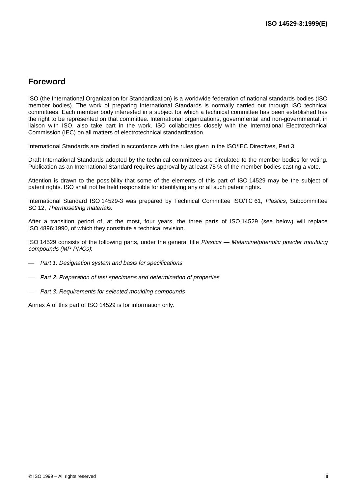# **Foreword**

ISO (the International Organization for Standardization) is a worldwide federation of national standards bodies (ISO member bodies). The work of preparing International Standards is normally carried out through ISO technical committees. Each member body interested in a subject for which a technical committee has been established has the right to be represented on that committee. International organizations, governmental and non-governmental, in liaison with ISO, also take part in the work. ISO collaborates closely with the International Electrotechnical Commission (IEC) on all matters of electrotechnical standardization.

International Standards are drafted in accordance with the rules given in the ISO/IEC Directives, Part 3.

Draft International Standards adopted by the technical committees are circulated to the member bodies for voting. Publication as an International Standard requires approval by at least 75 % of the member bodies casting a vote.

Attention is drawn to the possibility that some of the elements of this part of ISO 14529 may be the subject of patent rights. ISO shall not be held responsible for identifying any or all such patent rights.

International Standard ISO 14529-3 was prepared by Technical Committee ISO/TC 61, Plastics, Subcommittee SC 12, Thermosetting materials.

After a transition period of, at the most, four years, the three parts of ISO 14529 (see below) will replace ISO 4896:1990, of which they constitute a technical revision.

ISO 14529 consists of the following parts, under the general title Plastics — Melamine/phenolic powder moulding compounds (MP-PMCs):

- Part 1: Designation system and basis for specifications
- Part 2: Preparation of test specimens and determination of properties
- Part 3: Requirements for selected moulding compounds

Annex A of this part of ISO 14529 is for information only.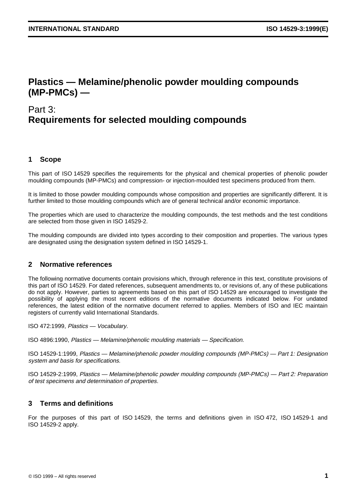# **Plastics — Melamine/phenolic powder moulding compounds (MP-PMCs) —**

# Part 3: **Requirements for selected moulding compounds**

## **1 Scope**

This part of ISO 14529 specifies the requirements for the physical and chemical properties of phenolic powder moulding compounds (MP-PMCs) and compression- or injection-moulded test specimens produced from them.

It is limited to those powder moulding compounds whose composition and properties are significantly different. It is further limited to those moulding compounds which are of general technical and/or economic importance.

The properties which are used to characterize the moulding compounds, the test methods and the test conditions are selected from those given in ISO 14529-2.

The moulding compounds are divided into types according to their composition and properties. The various types are designated using the designation system defined in ISO 14529-1.

### **2 Normative references**

The following normative documents contain provisions which, through reference in this text, constitute provisions of this part of ISO 14529. For dated references, subsequent amendments to, or revisions of, any of these publications do not apply. However, parties to agreements based on this part of ISO 14529 are encouraged to investigate the possibility of applying the most recent editions of the normative documents indicated below. For undated references, the latest edition of the normative document referred to applies. Members of ISO and IEC maintain registers of currently valid International Standards.

ISO 472:1999, Plastics — Vocabulary.

ISO 4896:1990, Plastics — Melamine/phenolic moulding materials — Specification.

ISO 14529-1:1999, Plastics — Melamine/phenolic powder moulding compounds (MP-PMCs) — Part 1: Designation system and basis for specifications.

ISO 14529-2:1999, Plastics — Melamine/phenolic powder moulding compounds (MP-PMCs) — Part 2: Preparation of test specimens and determination of properties.

### **3 Terms and definitions**

For the purposes of this part of ISO 14529, the terms and definitions given in ISO 472, ISO 14529-1 and ISO 14529-2 apply.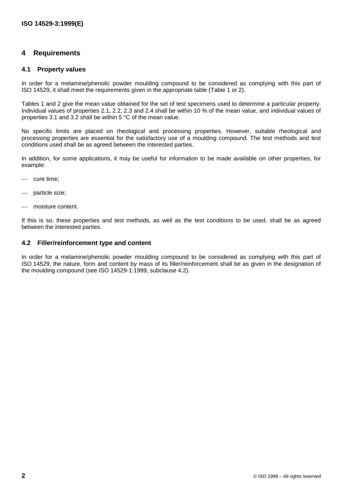## **4 Requirements**

### **4.1 Property values**

In order for a melamine/phenolic powder moulding compound to be considered as complying with this part of ISO 14529, it shall meet the requirements given in the appropriate table (Table 1 or 2).

Tables 1 and 2 give the mean value obtained for the set of test specimens used to determine a particular property. Individual values of properties 2.1, 2.2, 2.3 and 2.4 shall be within 10 % of the mean value, and individual values of properties 3.1 and 3.2 shall be within 5 °C of the mean value.

No specific limits are placed on rheological and processing properties. However, suitable rheological and processing properties are essential for the satisfactory use of a moulding compound. The test methods and test conditions used shall be as agreed between the interested parties.

In addition, for some applications, it may be useful for information to be made available on other properties, for example:

- cure time;
- particle size;
- moisture content.

If this is so, these properties and test methods, as well as the test conditions to be used, shall be as agreed between the interested parties.

### **4.2 Filler/reinforcement type and content**

In order for a melamine/phenolic powder moulding compound to be considered as complying with this part of ISO 14529, the nature, form and content by mass of its filler/reinforcement shall be as given in the designation of the moulding compound (see ISO 14529-1:1999, subclause 4.2).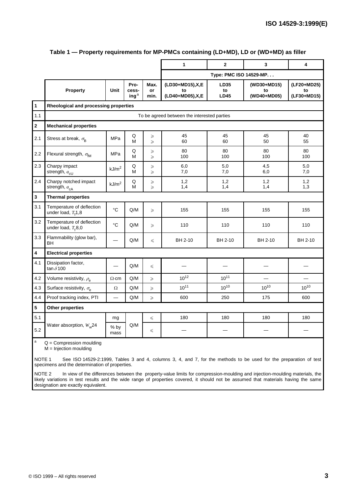|                         |                                                  |                   |                                              |                       | 1                                            | $\mathbf{2}$              | 3                                | 4                                |  |
|-------------------------|--------------------------------------------------|-------------------|----------------------------------------------|-----------------------|----------------------------------------------|---------------------------|----------------------------------|----------------------------------|--|
|                         |                                                  |                   |                                              |                       | Type: PMC ISO 14529-MP.                      |                           |                                  |                                  |  |
|                         | Property                                         | <b>Unit</b>       | Pro-<br>cess-<br>$\mathsf{inq}^{\mathsf{a}}$ | Max.<br>or<br>min.    | (LD30+MD15), X, E<br>to<br>(LD40+MD05), X, E | LD35<br>to<br><b>LD45</b> | (WD30+MD15)<br>to<br>(WD40+MD05) | (LF20+MD25)<br>to<br>(LF30+MD15) |  |
| $\ddot{\mathbf{1}}$     | Rheological and processing properties            |                   |                                              |                       |                                              |                           |                                  |                                  |  |
| 1.1                     | To be agreed between the interested parties      |                   |                                              |                       |                                              |                           |                                  |                                  |  |
| $\overline{\mathbf{2}}$ | <b>Mechanical properties</b>                     |                   |                                              |                       |                                              |                           |                                  |                                  |  |
| 2.1                     | Stress at break, $\sigma_{\rm B}$                | <b>MPa</b>        | Q<br>M                                       | $\geqslant$<br>$\geq$ | 45<br>60                                     | 45<br>60                  | 45<br>50                         | 40<br>55                         |  |
| 2.2                     | Flexural strength, $\sigma_{\text{fM}}$          | <b>MPa</b>        | Q<br>M                                       | $\geqslant$<br>$\geq$ | 80<br>100                                    | 80<br>100                 | 80<br>100                        | 80<br>100                        |  |
| 2.3                     | Charpy impact<br>strength, $a_{\text{cU}}$       | kJ/m <sup>2</sup> | Q<br>М                                       | $\geq$<br>$\geq$      | 6,0<br>7,0                                   | 5,0<br>7,0                | 4,5<br>6,0                       | 5,0<br>7,0                       |  |
| 2.4                     | Charpy notched impact<br>strength, $a_{cA}$      | kJ/m <sup>2</sup> | Q<br>M                                       | $\geqslant$<br>$\geq$ | 1,2<br>1,4                                   | 1,2<br>1,4                | 1,2<br>1,4                       | 1,2<br>1,3                       |  |
| 3                       | <b>Thermal properties</b>                        |                   |                                              |                       |                                              |                           |                                  |                                  |  |
| 3.1                     | Temperature of deflection<br>under load, $Tf1,8$ | $\circ$ C         | Q/M                                          | $\geq$                | 155                                          | 155                       | 155                              | 155                              |  |
| 3.2                     | Temperature of deflection<br>under load, $Tf8,0$ | °C                | Q/M                                          | $\geq$                | 110                                          | 110                       | 110                              | 110                              |  |
| 3.3                     | Flammability (glow bar),<br>BH                   |                   | $\mathsf{Q}/\mathsf{M}$                      | $\leq$                | BH 2-10                                      | BH 2-10                   | BH 2-10                          | BH 2-10                          |  |
| 4                       | <b>Electrical properties</b>                     |                   |                                              |                       |                                              |                           |                                  |                                  |  |
| 4.1                     | Dissipation factor,<br>tan $\delta$ 100          |                   | Q/M                                          | $\leq$                |                                              |                           |                                  |                                  |  |
| 4.2                     | Volume resistivity, $\rho_{\rm e}$               | $\Omega$ ·cm      | Q/M                                          | $\geq$                | $10^{12}$                                    | $10^{11}$                 |                                  |                                  |  |
| 4.3                     | Surface resistivity, $\sigma_{\rm e}$            | Ω                 | Q/M                                          | $\geq$                | $10^{11}$                                    | $10^{10}$                 | $10^{10}$                        | $10^{10}$                        |  |
| 4.4                     | Proof tracking index, PTI                        |                   | Q/M                                          | $\geqslant$           | 600                                          | 250                       | 175                              | 600                              |  |
| 5                       | Other properties                                 |                   |                                              |                       |                                              |                           |                                  |                                  |  |
| 5.1                     | mg<br>Water absorption, $W_w$ 24                 |                   | Q/M                                          | $\leq$                | 180                                          | 180                       | 180                              | 180                              |  |
| 5.2                     |                                                  | % by<br>mass      |                                              | $\leq$                |                                              |                           |                                  |                                  |  |
| $\mathsf a$             | $Q =$ Compression moulding                       |                   |                                              |                       |                                              |                           |                                  |                                  |  |

#### **Table 1 — Property requirements for MP-PMCs containing (LD+MD), LD or (WD+MD) as filler**

M = Injection moulding

NOTE 1 See ISO 14529-2:1999, Tables 3 and 4, columns 3, 4, and 7, for the methods to be used for the preparation of test specimens and the determination of properties.

NOTE 2 In view of the differences between the property-value limits for compression-moulding and injection-moulding materials, the likely variations in test results and the wide range of properties covered, it should not be assumed that materials having the same designation are exactly equivalent.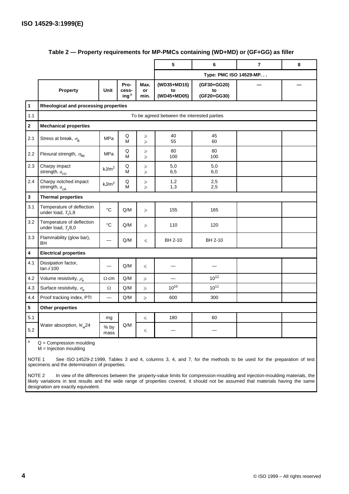|              |                                                    |                   |                                              |                            | 5                                | 6                                | $\overline{7}$ | 8 |  |
|--------------|----------------------------------------------------|-------------------|----------------------------------------------|----------------------------|----------------------------------|----------------------------------|----------------|---|--|
|              |                                                    |                   |                                              |                            | Type: PMC ISO 14529-MP           |                                  |                |   |  |
|              | Property                                           | Unit              | Pro-<br>cess-<br>$\mathsf{inq}^{\mathsf{a}}$ | Max.<br>or<br>min.         | (WD35+MD15)<br>to<br>(WD45+MD05) | (GF30+GG20)<br>to<br>(GF20+GG30) |                |   |  |
| $\mathbf{1}$ | Rheological and processing properties              |                   |                                              |                            |                                  |                                  |                |   |  |
| 1.1          | To be agreed between the interested parties        |                   |                                              |                            |                                  |                                  |                |   |  |
| $\mathbf 2$  | <b>Mechanical properties</b>                       |                   |                                              |                            |                                  |                                  |                |   |  |
| 2.1          | Stress at break, $\sigma_{\rm B}$                  | MPa               | Q<br>M                                       | $\geqslant$<br>$\geq$      | 40<br>55                         | 45<br>60                         |                |   |  |
| 2.2          | Flexural strength, $\sigma_{\text{fM}}$            | MPa               | Q<br>M                                       | $\geqslant$<br>$\geqslant$ | 80<br>100                        | 80<br>100                        |                |   |  |
| 2.3          | Charpy impact<br>strength, $a_{\text{cl}}$         | kJ/m <sup>2</sup> | Q<br>M                                       | $\geqslant$<br>$\geq$      | 5,0<br>6,5                       | 5,0<br>6,0                       |                |   |  |
| 2.4          | Charpy notched impact<br>strength, $a_{cA}$        | kJ/m <sup>2</sup> | $\mathsf Q$<br>M                             | $\geqslant$<br>$\geq$      | 1,2<br>1,3                       | 2,5<br>2,5                       |                |   |  |
| 3            | <b>Thermal properties</b>                          |                   |                                              |                            |                                  |                                  |                |   |  |
| 3.1          | Temperature of deflection<br>under load, $Tf1,8$   | $\rm ^{\circ}C$   | Q/M                                          | $\geq$                     | 155                              | 165                              |                |   |  |
| 3.2          | Temperature of deflection<br>under load, $T_f$ 8,0 | $\rm ^{\circ}C$   | Q/M                                          | $\geqslant$                | 110                              | 120                              |                |   |  |
| 3.3          | Flammability (glow bar),<br>BH                     |                   | $\mathsf{Q}/\mathsf{M}$                      | $\leq$                     | BH 2-10                          | BH 2-10                          |                |   |  |
| 4            | <b>Electrical properties</b>                       |                   |                                              |                            |                                  |                                  |                |   |  |
| 4.1          | Dissipation factor,<br>tan $\delta$ 100            |                   | Q/M                                          | $\leq$                     |                                  |                                  |                |   |  |
| 4.2          | Volume resistivity, $\rho_{\rm e}$                 | $\Omega$ ·cm      | Q/M                                          | $\geq$                     |                                  | $10^{12}$                        |                |   |  |
| 4.3          | Surface resistivity, $\sigma_{\rm e}$              | Ω                 | Q/M                                          | $\geq$                     | $10^{10}$                        | $10^{11}$                        |                |   |  |
| 4.4          | Proof tracking index, PTI                          | –                 | Q/M                                          | $\geqslant$                | 600                              | 300                              |                |   |  |
| 5            | Other properties                                   |                   |                                              |                            |                                  |                                  |                |   |  |
| 5.1          | Water absorption, $W_w$ 24                         | mg                | Q/M                                          | $\leq$                     | 180                              | 60                               |                |   |  |
| 5.2          |                                                    | % by<br>mass      |                                              | $\leq$                     |                                  |                                  |                |   |  |
| $\mathsf{a}$ | $Q =$ Compression moulding                         |                   |                                              |                            |                                  |                                  |                |   |  |

### **Table 2 — Property requirements for MP-PMCs containing (WD+MD) or (GF+GG) as filler**

M = Injection moulding

NOTE 1 See ISO 14529-2:1999, Tables 3 and 4, columns 3, 4, and 7, for the methods to be used for the preparation of test specimens and the determination of properties.

NOTE 2 In view of the differences between the property-value limits for compression-moulding and injection-moulding materials, the likely variations in test results and the wide range of properties covered, it should not be assumed that materials having the same designation are exactly equivalent.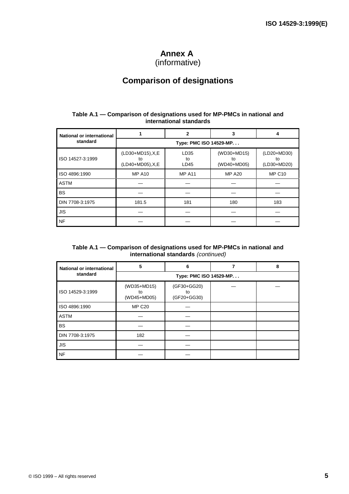# **Annex A**

(informative)

# **Comparison of designations**

### **Table A.1 — Comparison of designations used for MP-PMCs in national and international standards**

| <b>National or international</b> |                                              | 2                  | 3                                |                                  |  |  |  |
|----------------------------------|----------------------------------------------|--------------------|----------------------------------|----------------------------------|--|--|--|
| standard                         | Type: PMC ISO 14529-MP                       |                    |                                  |                                  |  |  |  |
| ISO 14527-3:1999                 | (LD30+MD15), X, E<br>to<br>(LD40+MD05), X, E | LD35<br>to<br>LD45 | (WD30+MD15)<br>to<br>(WD40+MD05) | (LD20+MD30)<br>to<br>(LD30+MD20) |  |  |  |
| ISO 4896:1990                    | <b>MP A10</b>                                | <b>MP A11</b>      | <b>MP A20</b>                    | <b>MP C10</b>                    |  |  |  |
| <b>ASTM</b>                      |                                              |                    |                                  |                                  |  |  |  |
| <b>BS</b>                        |                                              |                    |                                  |                                  |  |  |  |
| DIN 7708-3:1975                  | 181.5                                        | 181                | 180                              | 183                              |  |  |  |
| JIS                              |                                              |                    |                                  |                                  |  |  |  |
| <b>NF</b>                        |                                              |                    |                                  |                                  |  |  |  |

#### **Table A.1 — Comparison of designations used for MP-PMCs in national and international standards** (continued)

| National or international | 5                                | 6                                |  | 8 |  |  |  |
|---------------------------|----------------------------------|----------------------------------|--|---|--|--|--|
| standard                  | Type: PMC ISO 14529-MP           |                                  |  |   |  |  |  |
| ISO 14529-3:1999          | (WD35+MD15)<br>to<br>(WD45+MD05) | (GF30+GG20)<br>to<br>(GF20+GG30) |  |   |  |  |  |
| ISO 4896:1990             | <b>MP C20</b>                    |                                  |  |   |  |  |  |
| <b>ASTM</b>               |                                  |                                  |  |   |  |  |  |
| <b>BS</b>                 |                                  |                                  |  |   |  |  |  |
| DIN 7708-3:1975           | 182                              |                                  |  |   |  |  |  |
| <b>JIS</b>                |                                  |                                  |  |   |  |  |  |
| <b>NF</b>                 |                                  |                                  |  |   |  |  |  |